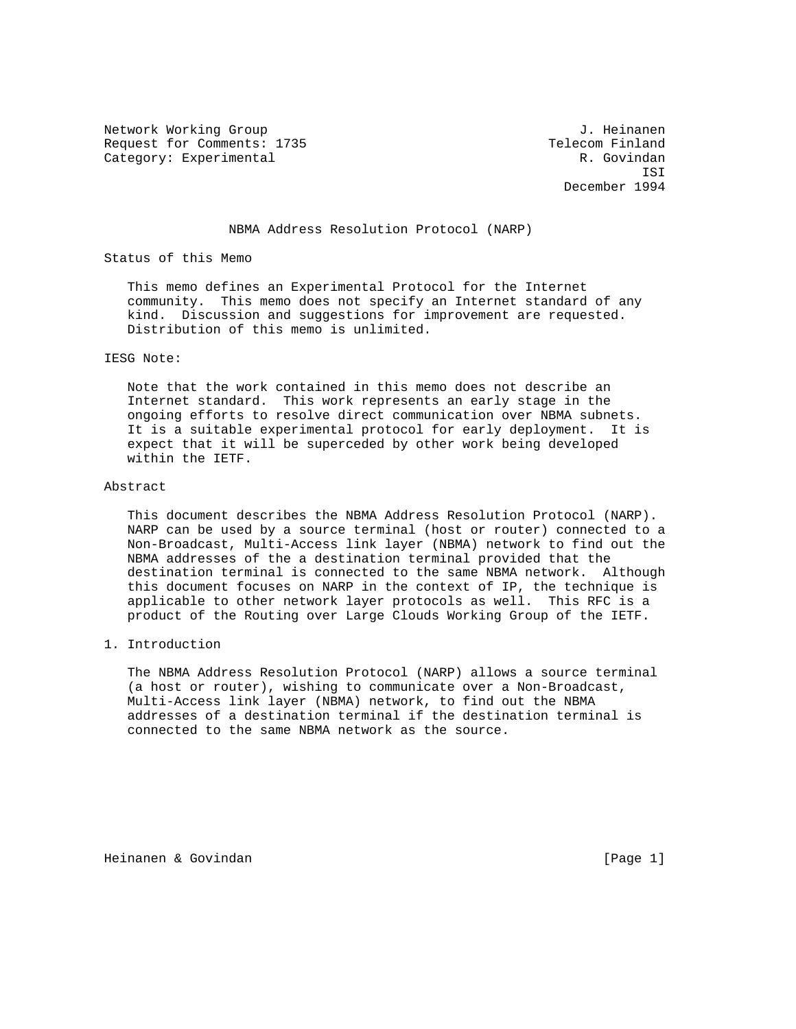Network Working Group and Alexander Controller and Alexander Alexander Alexander Alexander Alexander Alexander Request for Comments: 1735 Telecom Finland Category: Experimental R. Govindan

 ISI December 1994

# NBMA Address Resolution Protocol (NARP)

Status of this Memo

 This memo defines an Experimental Protocol for the Internet community. This memo does not specify an Internet standard of any kind. Discussion and suggestions for improvement are requested. Distribution of this memo is unlimited.

## IESG Note:

 Note that the work contained in this memo does not describe an Internet standard. This work represents an early stage in the ongoing efforts to resolve direct communication over NBMA subnets. It is a suitable experimental protocol for early deployment. It is expect that it will be superceded by other work being developed within the IETF.

## Abstract

 This document describes the NBMA Address Resolution Protocol (NARP). NARP can be used by a source terminal (host or router) connected to a Non-Broadcast, Multi-Access link layer (NBMA) network to find out the NBMA addresses of the a destination terminal provided that the destination terminal is connected to the same NBMA network. Although this document focuses on NARP in the context of IP, the technique is applicable to other network layer protocols as well. This RFC is a product of the Routing over Large Clouds Working Group of the IETF.

# 1. Introduction

 The NBMA Address Resolution Protocol (NARP) allows a source terminal (a host or router), wishing to communicate over a Non-Broadcast, Multi-Access link layer (NBMA) network, to find out the NBMA addresses of a destination terminal if the destination terminal is connected to the same NBMA network as the source.

Heinanen & Govindan [Page 1]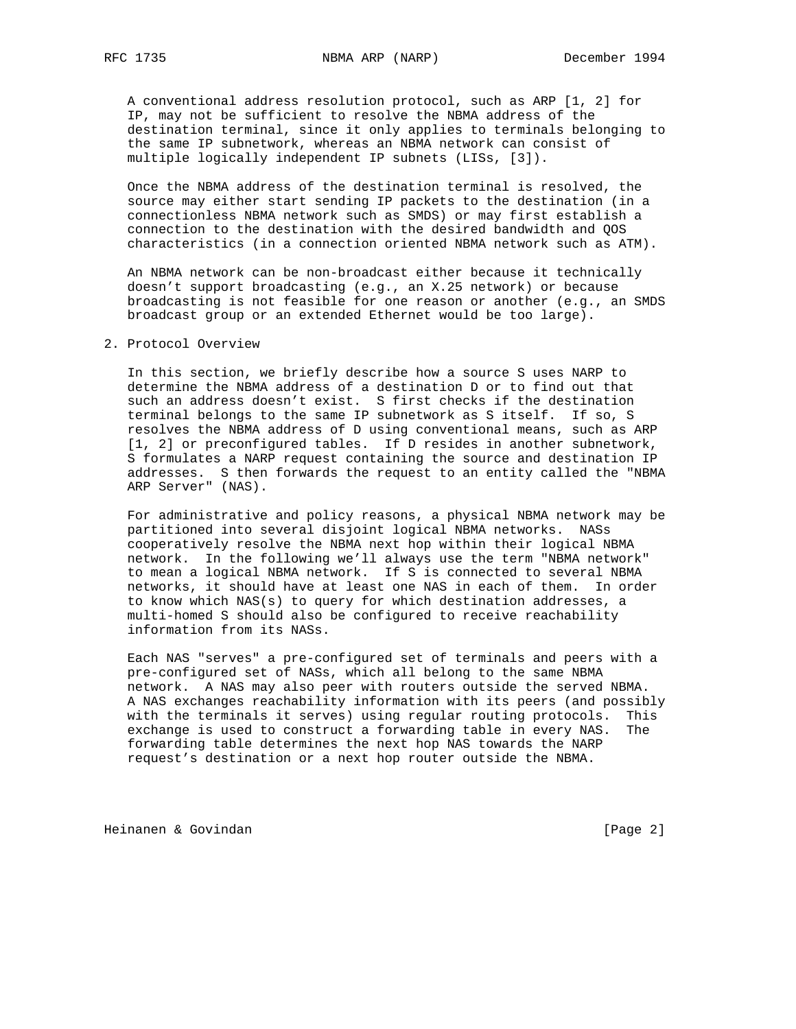A conventional address resolution protocol, such as ARP [1, 2] for IP, may not be sufficient to resolve the NBMA address of the destination terminal, since it only applies to terminals belonging to the same IP subnetwork, whereas an NBMA network can consist of multiple logically independent IP subnets (LISs, [3]).

 Once the NBMA address of the destination terminal is resolved, the source may either start sending IP packets to the destination (in a connectionless NBMA network such as SMDS) or may first establish a connection to the destination with the desired bandwidth and QOS characteristics (in a connection oriented NBMA network such as ATM).

 An NBMA network can be non-broadcast either because it technically doesn't support broadcasting (e.g., an X.25 network) or because broadcasting is not feasible for one reason or another (e.g., an SMDS broadcast group or an extended Ethernet would be too large).

### 2. Protocol Overview

 In this section, we briefly describe how a source S uses NARP to determine the NBMA address of a destination D or to find out that such an address doesn't exist. S first checks if the destination terminal belongs to the same IP subnetwork as S itself. If so, S resolves the NBMA address of D using conventional means, such as ARP [1, 2] or preconfigured tables. If D resides in another subnetwork, S formulates a NARP request containing the source and destination IP addresses. S then forwards the request to an entity called the "NBMA ARP Server" (NAS).

 For administrative and policy reasons, a physical NBMA network may be partitioned into several disjoint logical NBMA networks. NASs cooperatively resolve the NBMA next hop within their logical NBMA network. In the following we'll always use the term "NBMA network" to mean a logical NBMA network. If S is connected to several NBMA networks, it should have at least one NAS in each of them. In order to know which NAS(s) to query for which destination addresses, a multi-homed S should also be configured to receive reachability information from its NASs.

 Each NAS "serves" a pre-configured set of terminals and peers with a pre-configured set of NASs, which all belong to the same NBMA network. A NAS may also peer with routers outside the served NBMA. A NAS exchanges reachability information with its peers (and possibly with the terminals it serves) using regular routing protocols. This exchange is used to construct a forwarding table in every NAS. The forwarding table determines the next hop NAS towards the NARP request's destination or a next hop router outside the NBMA.

Heinanen & Govindan [Page 2]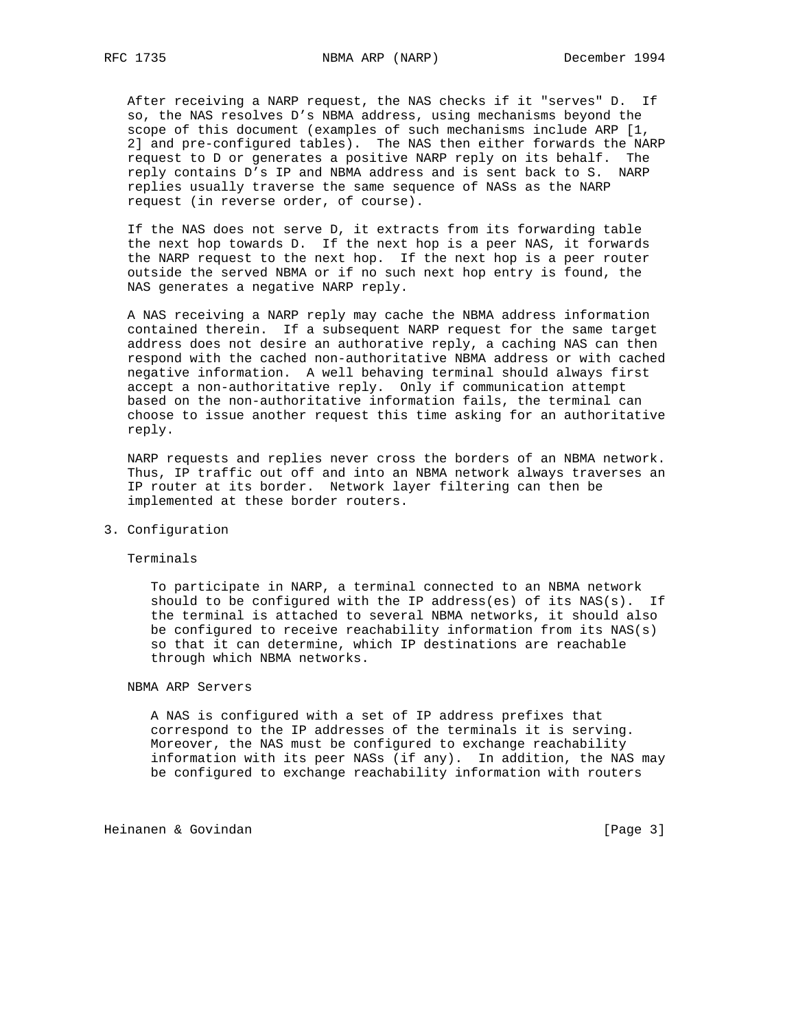After receiving a NARP request, the NAS checks if it "serves" D. If so, the NAS resolves D's NBMA address, using mechanisms beyond the scope of this document (examples of such mechanisms include ARP [1, 2] and pre-configured tables). The NAS then either forwards the NARP request to D or generates a positive NARP reply on its behalf. The reply contains D's IP and NBMA address and is sent back to S. NARP replies usually traverse the same sequence of NASs as the NARP request (in reverse order, of course).

 If the NAS does not serve D, it extracts from its forwarding table the next hop towards D. If the next hop is a peer NAS, it forwards the NARP request to the next hop. If the next hop is a peer router outside the served NBMA or if no such next hop entry is found, the NAS generates a negative NARP reply.

 A NAS receiving a NARP reply may cache the NBMA address information contained therein. If a subsequent NARP request for the same target address does not desire an authorative reply, a caching NAS can then respond with the cached non-authoritative NBMA address or with cached negative information. A well behaving terminal should always first accept a non-authoritative reply. Only if communication attempt based on the non-authoritative information fails, the terminal can choose to issue another request this time asking for an authoritative reply.

 NARP requests and replies never cross the borders of an NBMA network. Thus, IP traffic out off and into an NBMA network always traverses an IP router at its border. Network layer filtering can then be implemented at these border routers.

## 3. Configuration

#### Terminals

 To participate in NARP, a terminal connected to an NBMA network should to be configured with the IP address(es) of its NAS(s). If the terminal is attached to several NBMA networks, it should also be configured to receive reachability information from its NAS(s) so that it can determine, which IP destinations are reachable through which NBMA networks.

## NBMA ARP Servers

 A NAS is configured with a set of IP address prefixes that correspond to the IP addresses of the terminals it is serving. Moreover, the NAS must be configured to exchange reachability information with its peer NASs (if any). In addition, the NAS may be configured to exchange reachability information with routers

Heinanen & Govindan [Page 3]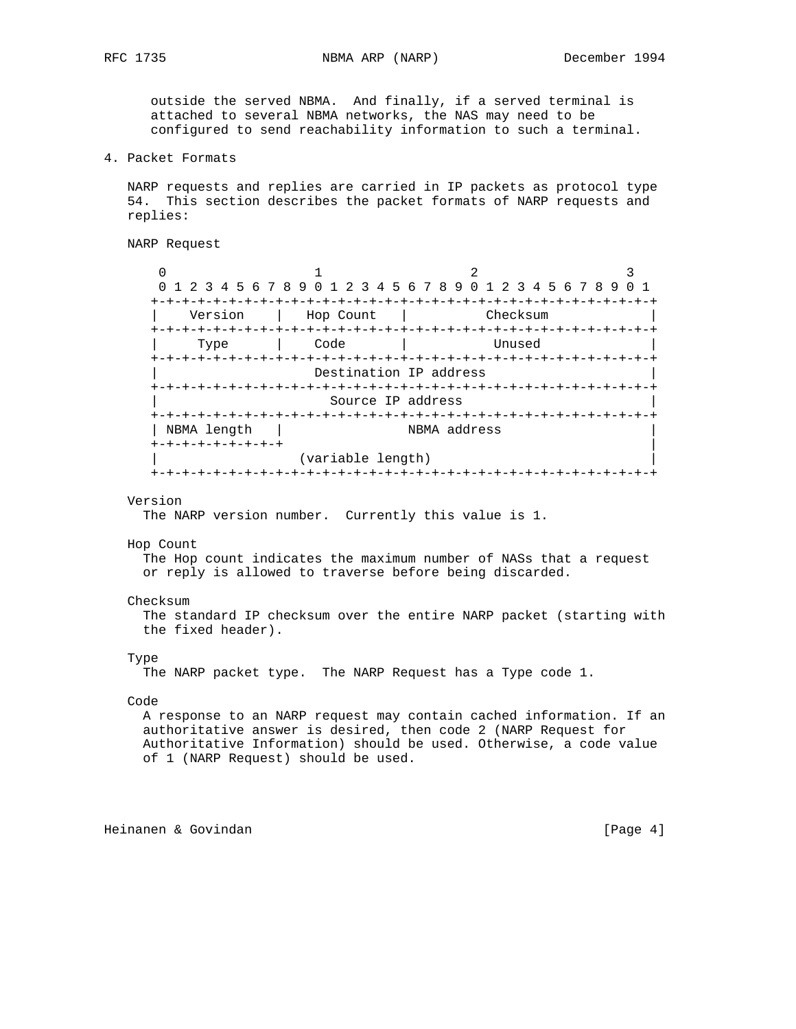outside the served NBMA. And finally, if a served terminal is attached to several NBMA networks, the NAS may need to be configured to send reachability information to such a terminal.

4. Packet Formats

 NARP requests and replies are carried in IP packets as protocol type 54. This section describes the packet formats of NARP requests and replies:

```
 NARP Request
```
 $0$  1 2 3 0 1 2 3 4 5 6 7 8 9 0 1 2 3 4 5 6 7 8 9 0 1 2 3 4 5 6 7 8 9 0 1 +-+-+-+-+-+-+-+-+-+-+-+-+-+-+-+-+-+-+-+-+-+-+-+-+-+-+-+-+-+-+-+-+ Version | Hop Count | +-+-+-+-+-+-+-+-+-+-+-+-+-+-+-+-+-+-+-+-+-+-+-+-+-+-+-+-+-+-+-+-+ Type | Code | +-+-+-+-+-+-+-+-+-+-+-+-+-+-+-+-+-+-+-+-+-+-+-+-+-+-+-+-+-+-+-+-+ Destination IP address +-+-+-+-+-+-+-+-+-+-+-+-+-+-+-+-+-+-+-+-+-+-+-+-+-+-+-+-+-+-+-+-+ Source IP address +-+-+-+-+-+-+-+-+-+-+-+-+-+-+-+-+-+-+-+-+-+-+-+-+-+-+-+-+-+-+-+-+ | NBMA length | NBMA address +-+-+-+-+-+-+-+-+ | (variable length) +-+-+-+-+-+-+-+-+-+-+-+-+-+-+-+-+-+-+-+-+-+-+-+-+-+-+-+-+-+-+-+-+

### Version

The NARP version number. Currently this value is 1.

#### Hop Count

 The Hop count indicates the maximum number of NASs that a request or reply is allowed to traverse before being discarded.

### Checksum

 The standard IP checksum over the entire NARP packet (starting with the fixed header).

#### Type

The NARP packet type. The NARP Request has a Type code 1.

## Code

 A response to an NARP request may contain cached information. If an authoritative answer is desired, then code 2 (NARP Request for Authoritative Information) should be used. Otherwise, a code value of 1 (NARP Request) should be used.

Heinanen & Govindan [Page 4]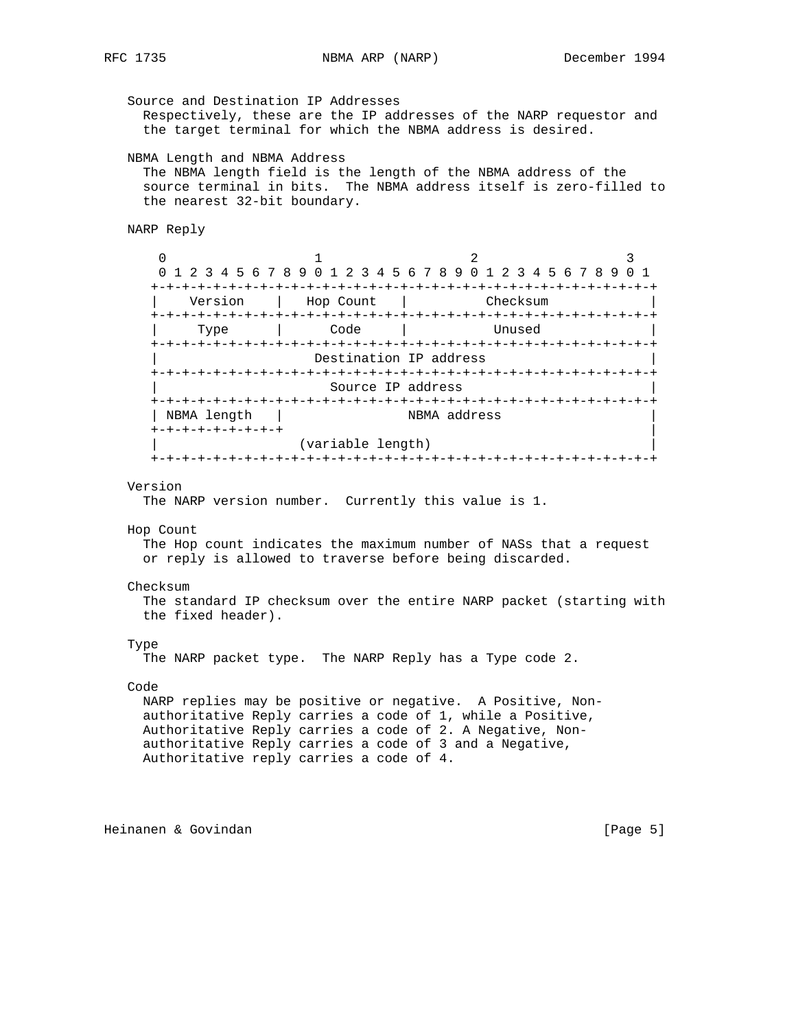Source and Destination IP Addresses Respectively, these are the IP addresses of the NARP requestor and the target terminal for which the NBMA address is desired. NBMA Length and NBMA Address The NBMA length field is the length of the NBMA address of the source terminal in bits. The NBMA address itself is zero-filled to the nearest 32-bit boundary. NARP Reply  $\begin{array}{ccccccc}\n0 & & & 1 & & & 2 & & 3\n\end{array}$  0 1 2 3 4 5 6 7 8 9 0 1 2 3 4 5 6 7 8 9 0 1 2 3 4 5 6 7 8 9 0 1 +-+-+-+-+-+-+-+-+-+-+-+-+-+-+-+-+-+-+-+-+-+-+-+-+-+-+-+-+-+-+-+-+ Version | Hop Count | Checksum +-+-+-+-+-+-+-+-+-+-+-+-+-+-+-+-+-+-+-+-+-+-+-+-+-+-+-+-+-+-+-+-+ | Type | Code | Unused | +-+-+-+-+-+-+-+-+-+-+-+-+-+-+-+-+-+-+-+-+-+-+-+-+-+-+-+-+-+-+-+-+ Destination IP address +-+-+-+-+-+-+-+-+-+-+-+-+-+-+-+-+-+-+-+-+-+-+-+-+-+-+-+-+-+-+-+-+ Source IP address +-+-+-+-+-+-+-+-+-+-+-+-+-+-+-+-+-+-+-+-+-+-+-+-+-+-+-+-+-+-+-+-+ | NBMA length | NBMA address +-+-+-+-+-+-+-+-+ | (variable length) +-+-+-+-+-+-+-+-+-+-+-+-+-+-+-+-+-+-+-+-+-+-+-+-+-+-+-+-+-+-+-+-+ Version The NARP version number. Currently this value is 1. Hop Count The Hop count indicates the maximum number of NASs that a request or reply is allowed to traverse before being discarded. Checksum The standard IP checksum over the entire NARP packet (starting with the fixed header). Type The NARP packet type. The NARP Reply has a Type code 2. Code NARP replies may be positive or negative. A Positive, Non authoritative Reply carries a code of 1, while a Positive, Authoritative Reply carries a code of 2. A Negative, Non authoritative Reply carries a code of 3 and a Negative, Authoritative reply carries a code of 4.

Heinanen & Govindan [Page 5]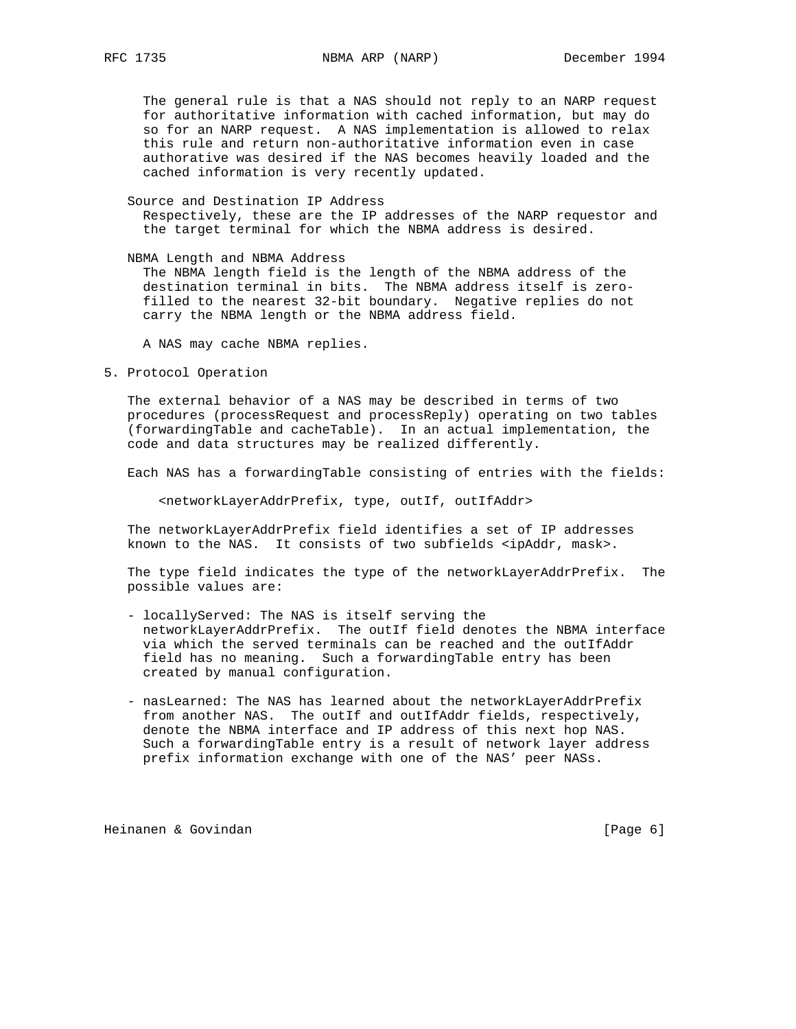The general rule is that a NAS should not reply to an NARP request for authoritative information with cached information, but may do so for an NARP request. A NAS implementation is allowed to relax this rule and return non-authoritative information even in case authorative was desired if the NAS becomes heavily loaded and the cached information is very recently updated.

 Source and Destination IP Address Respectively, these are the IP addresses of the NARP requestor and the target terminal for which the NBMA address is desired.

 NBMA Length and NBMA Address The NBMA length field is the length of the NBMA address of the destination terminal in bits. The NBMA address itself is zero filled to the nearest 32-bit boundary. Negative replies do not carry the NBMA length or the NBMA address field.

A NAS may cache NBMA replies.

5. Protocol Operation

 The external behavior of a NAS may be described in terms of two procedures (processRequest and processReply) operating on two tables (forwardingTable and cacheTable). In an actual implementation, the code and data structures may be realized differently.

Each NAS has a forwardingTable consisting of entries with the fields:

<networkLayerAddrPrefix, type, outIf, outIfAddr>

 The networkLayerAddrPrefix field identifies a set of IP addresses known to the NAS. It consists of two subfields <ipAddr, mask>.

 The type field indicates the type of the networkLayerAddrPrefix. The possible values are:

- locallyServed: The NAS is itself serving the networkLayerAddrPrefix. The outIf field denotes the NBMA interface via which the served terminals can be reached and the outIfAddr field has no meaning. Such a forwardingTable entry has been created by manual configuration.
- nasLearned: The NAS has learned about the networkLayerAddrPrefix from another NAS. The outIf and outIfAddr fields, respectively, denote the NBMA interface and IP address of this next hop NAS. Such a forwardingTable entry is a result of network layer address prefix information exchange with one of the NAS' peer NASs.

Heinanen & Govindan [Page 6]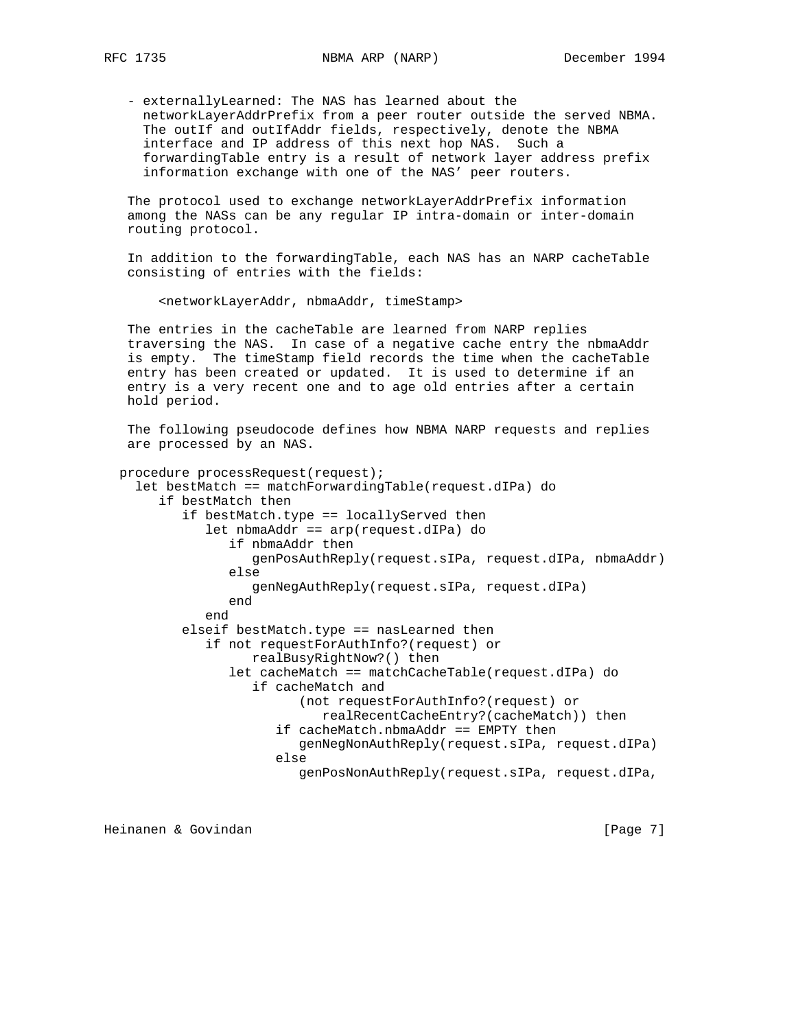- externallyLearned: The NAS has learned about the networkLayerAddrPrefix from a peer router outside the served NBMA. The outIf and outIfAddr fields, respectively, denote the NBMA interface and IP address of this next hop NAS. Such a forwardingTable entry is a result of network layer address prefix information exchange with one of the NAS' peer routers.

 The protocol used to exchange networkLayerAddrPrefix information among the NASs can be any regular IP intra-domain or inter-domain routing protocol.

 In addition to the forwardingTable, each NAS has an NARP cacheTable consisting of entries with the fields:

<networkLayerAddr, nbmaAddr, timeStamp>

 The entries in the cacheTable are learned from NARP replies traversing the NAS. In case of a negative cache entry the nbmaAddr is empty. The timeStamp field records the time when the cacheTable entry has been created or updated. It is used to determine if an entry is a very recent one and to age old entries after a certain hold period.

 The following pseudocode defines how NBMA NARP requests and replies are processed by an NAS.

```
 procedure processRequest(request);
  let bestMatch == matchForwardingTable(request.dIPa) do
     if bestMatch then
        if bestMatch.type == locallyServed then
           let nbmaAddr == arp(request.dIPa) do
              if nbmaAddr then
                 genPosAuthReply(request.sIPa, request.dIPa, nbmaAddr)
              else
                 genNegAuthReply(request.sIPa, request.dIPa)
              end
           end
        elseif bestMatch.type == nasLearned then
           if not requestForAuthInfo?(request) or
                 realBusyRightNow?() then
              let cacheMatch == matchCacheTable(request.dIPa) do
                 if cacheMatch and
                        (not requestForAuthInfo?(request) or
                           realRecentCacheEntry?(cacheMatch)) then
                     if cacheMatch.nbmaAddr == EMPTY then
                        genNegNonAuthReply(request.sIPa, request.dIPa)
                     else
                        genPosNonAuthReply(request.sIPa, request.dIPa,
```
Heinanen & Govindan [Page 7]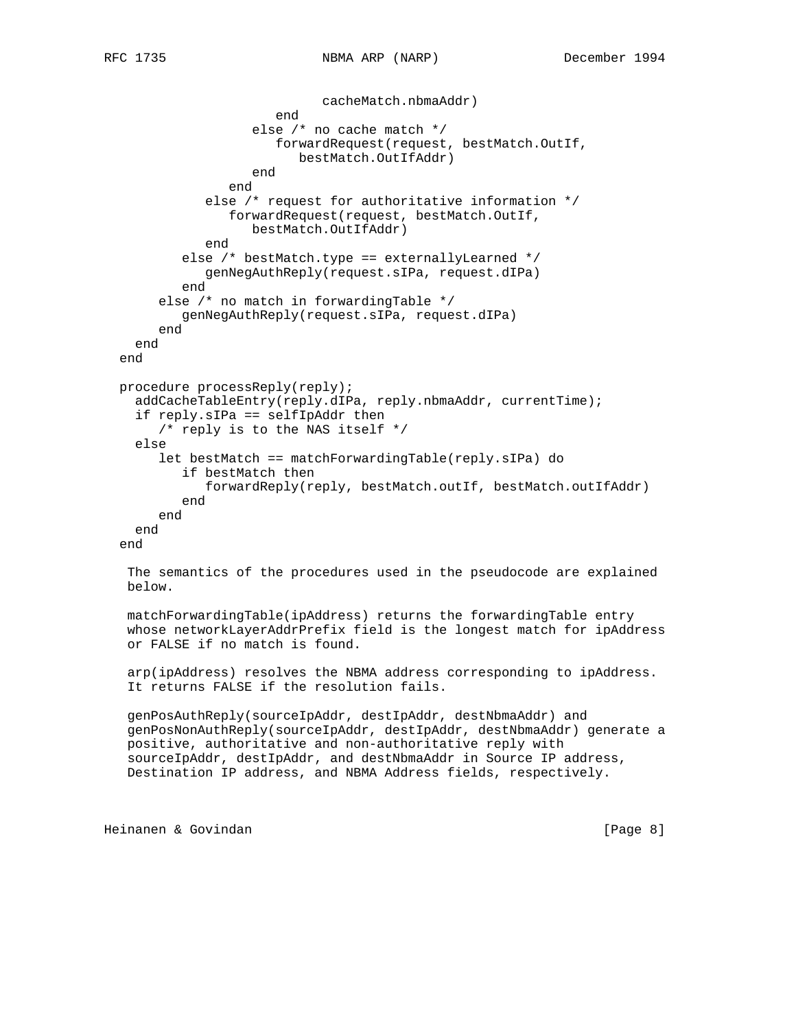```
 cacheMatch.nbmaAddr)
                     end
                  else /* no cache match */
                     forwardRequest(request, bestMatch.OutIf,
                        bestMatch.OutIfAddr)
                  end
              end
           else /* request for authoritative information */
              forwardRequest(request, bestMatch.OutIf,
                  bestMatch.OutIfAddr)
           end
        else /* bestMatch.type == externallyLearned */
           genNegAuthReply(request.sIPa, request.dIPa)
        end
     else /* no match in forwardingTable */
        genNegAuthReply(request.sIPa, request.dIPa)
     end
  end
end
procedure processReply(reply);
  addCacheTableEntry(reply.dIPa, reply.nbmaAddr, currentTime);
  if reply.sIPa == selfIpAddr then
     /* reply is to the NAS itself */
  else
     let bestMatch == matchForwardingTable(reply.sIPa) do
        if bestMatch then
           forwardReply(reply, bestMatch.outIf, bestMatch.outIfAddr)
        end
     end
 end
end
 The semantics of the procedures used in the pseudocode are explained
below.
```
 matchForwardingTable(ipAddress) returns the forwardingTable entry whose networkLayerAddrPrefix field is the longest match for ipAddress or FALSE if no match is found.

 arp(ipAddress) resolves the NBMA address corresponding to ipAddress. It returns FALSE if the resolution fails.

 genPosAuthReply(sourceIpAddr, destIpAddr, destNbmaAddr) and genPosNonAuthReply(sourceIpAddr, destIpAddr, destNbmaAddr) generate a positive, authoritative and non-authoritative reply with sourceIpAddr, destIpAddr, and destNbmaAddr in Source IP address, Destination IP address, and NBMA Address fields, respectively.

Heinanen & Govindan [Page 8]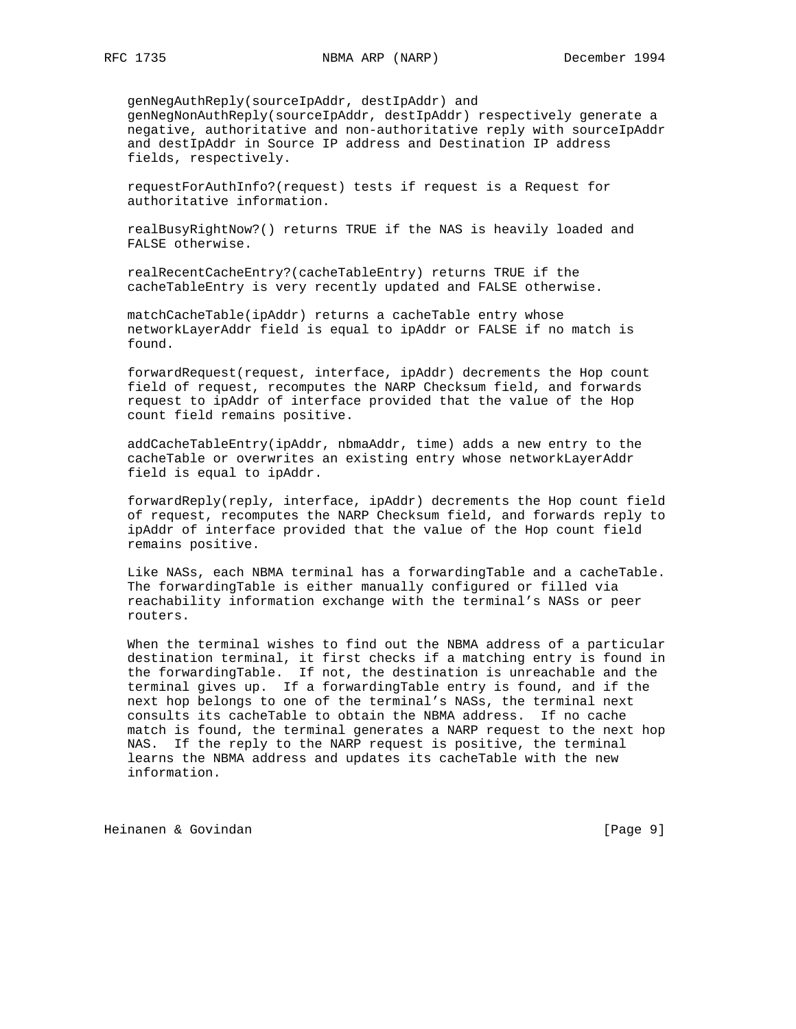genNegAuthReply(sourceIpAddr, destIpAddr) and genNegNonAuthReply(sourceIpAddr, destIpAddr) respectively generate a negative, authoritative and non-authoritative reply with sourceIpAddr and destIpAddr in Source IP address and Destination IP address fields, respectively.

 requestForAuthInfo?(request) tests if request is a Request for authoritative information.

 realBusyRightNow?() returns TRUE if the NAS is heavily loaded and FALSE otherwise.

 realRecentCacheEntry?(cacheTableEntry) returns TRUE if the cacheTableEntry is very recently updated and FALSE otherwise.

 matchCacheTable(ipAddr) returns a cacheTable entry whose networkLayerAddr field is equal to ipAddr or FALSE if no match is found.

 forwardRequest(request, interface, ipAddr) decrements the Hop count field of request, recomputes the NARP Checksum field, and forwards request to ipAddr of interface provided that the value of the Hop count field remains positive.

 addCacheTableEntry(ipAddr, nbmaAddr, time) adds a new entry to the cacheTable or overwrites an existing entry whose networkLayerAddr field is equal to ipAddr.

 forwardReply(reply, interface, ipAddr) decrements the Hop count field of request, recomputes the NARP Checksum field, and forwards reply to ipAddr of interface provided that the value of the Hop count field remains positive.

 Like NASs, each NBMA terminal has a forwardingTable and a cacheTable. The forwardingTable is either manually configured or filled via reachability information exchange with the terminal's NASs or peer routers.

 When the terminal wishes to find out the NBMA address of a particular destination terminal, it first checks if a matching entry is found in the forwardingTable. If not, the destination is unreachable and the terminal gives up. If a forwardingTable entry is found, and if the next hop belongs to one of the terminal's NASs, the terminal next consults its cacheTable to obtain the NBMA address. If no cache match is found, the terminal generates a NARP request to the next hop NAS. If the reply to the NARP request is positive, the terminal learns the NBMA address and updates its cacheTable with the new information.

Heinanen & Govindan [Page 9]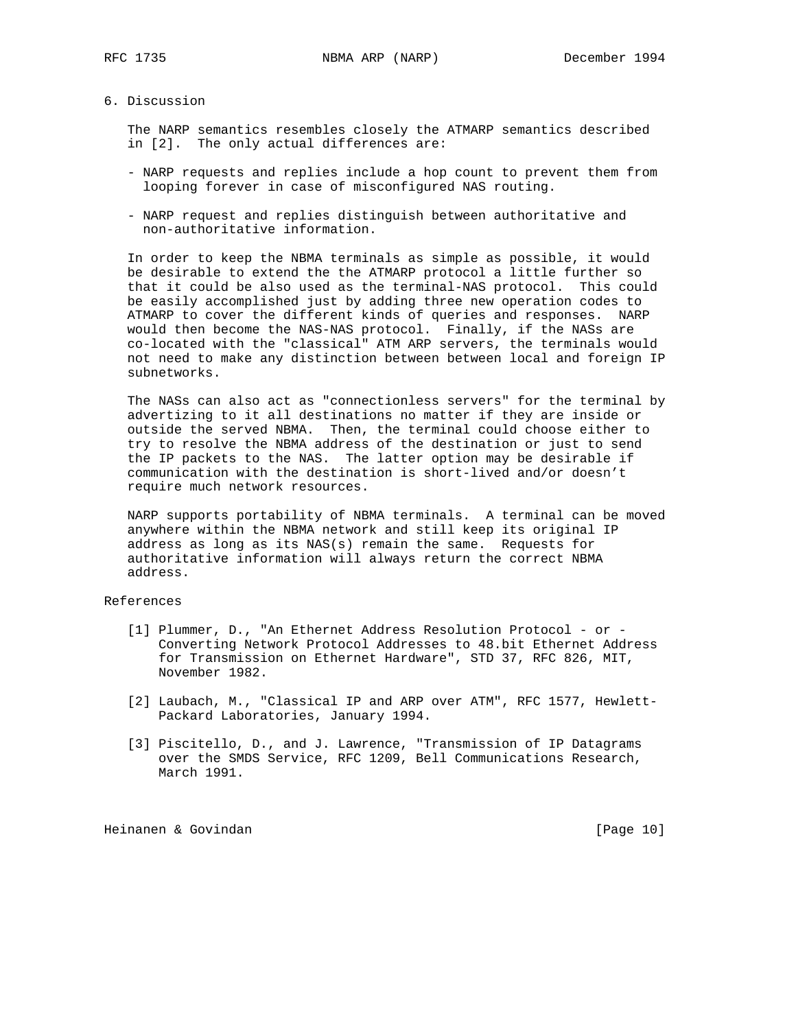### 6. Discussion

 The NARP semantics resembles closely the ATMARP semantics described in [2]. The only actual differences are:

- NARP requests and replies include a hop count to prevent them from looping forever in case of misconfigured NAS routing.
- NARP request and replies distinguish between authoritative and non-authoritative information.

 In order to keep the NBMA terminals as simple as possible, it would be desirable to extend the the ATMARP protocol a little further so that it could be also used as the terminal-NAS protocol. This could be easily accomplished just by adding three new operation codes to ATMARP to cover the different kinds of queries and responses. NARP would then become the NAS-NAS protocol. Finally, if the NASs are co-located with the "classical" ATM ARP servers, the terminals would not need to make any distinction between between local and foreign IP subnetworks.

 The NASs can also act as "connectionless servers" for the terminal by advertizing to it all destinations no matter if they are inside or outside the served NBMA. Then, the terminal could choose either to try to resolve the NBMA address of the destination or just to send the IP packets to the NAS. The latter option may be desirable if communication with the destination is short-lived and/or doesn't require much network resources.

 NARP supports portability of NBMA terminals. A terminal can be moved anywhere within the NBMA network and still keep its original IP address as long as its NAS(s) remain the same. Requests for authoritative information will always return the correct NBMA address.

# References

- [1] Plummer, D., "An Ethernet Address Resolution Protocol or Converting Network Protocol Addresses to 48.bit Ethernet Address for Transmission on Ethernet Hardware", STD 37, RFC 826, MIT, November 1982.
- [2] Laubach, M., "Classical IP and ARP over ATM", RFC 1577, Hewlett- Packard Laboratories, January 1994.
- [3] Piscitello, D., and J. Lawrence, "Transmission of IP Datagrams over the SMDS Service, RFC 1209, Bell Communications Research, March 1991.

Heinanen & Govindan [Page 10]